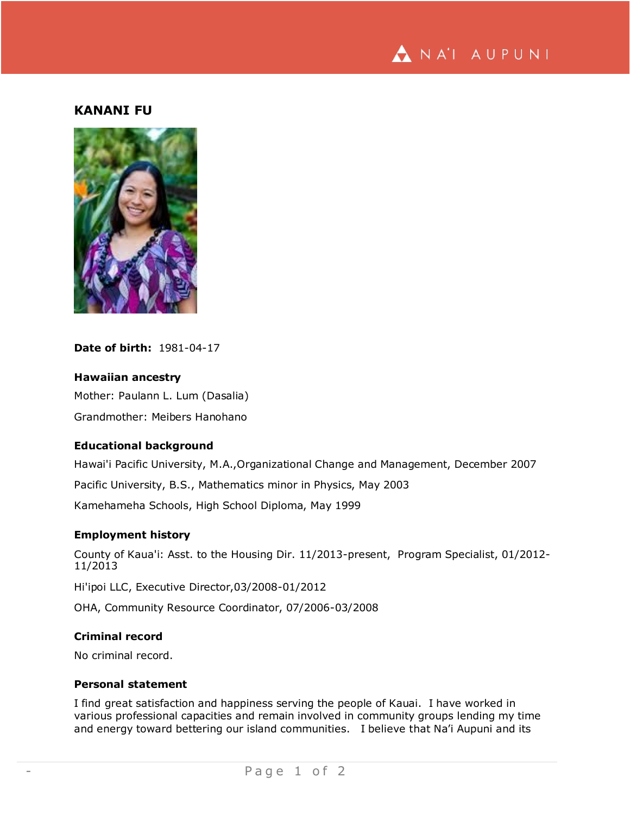

## **KANANI FU**



## **Date of birth:** 1981-04-17

## **Hawaiian ancestry**

Mother: Paulann L. Lum (Dasalia) Grandmother: Meibers Hanohano

#### **Educational background**

Hawai'i Pacific University, M.A.,Organizational Change and Management, December 2007

Pacific University, B.S., Mathematics minor in Physics, May 2003

Kamehameha Schools, High School Diploma, May 1999

#### **Employment history**

County of Kaua'i: Asst. to the Housing Dir. 11/2013-present, Program Specialist, 01/2012- 11/2013

Hi'ipoi LLC, Executive Director,03/2008-01/2012

OHA, Community Resource Coordinator, 07/2006-03/2008

# **Criminal record**

No criminal record.

## **Personal statement**

I find great satisfaction and happiness serving the people of Kauai. I have worked in various professional capacities and remain involved in community groups lending my time and energy toward bettering our island communities. I believe that Na'i Aupuni and its